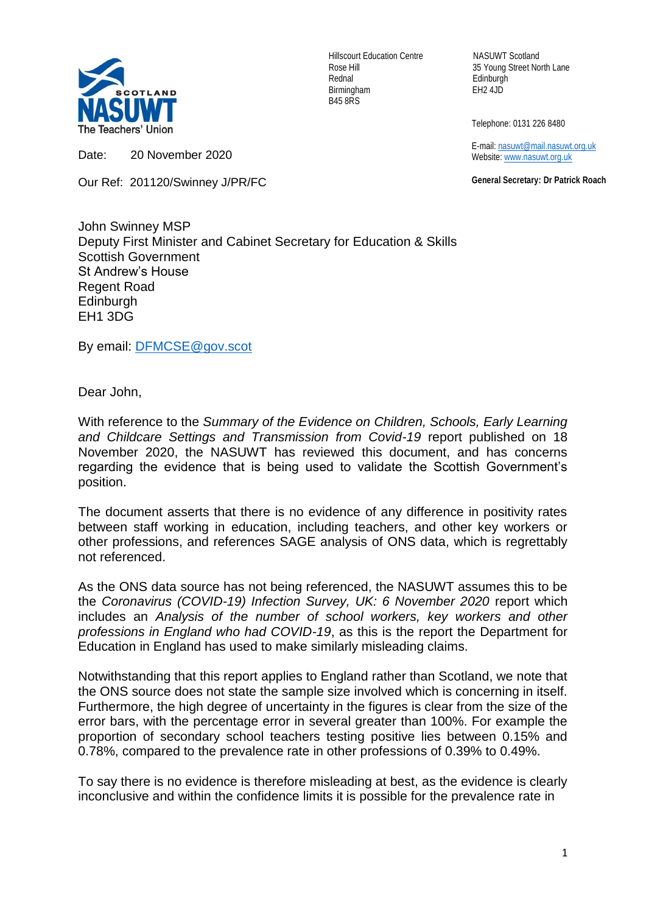

Hillscourt Education Centre NASUWT Scotland Rednal Edinburgh Birmingham EH2 4JD B45 8RS

Rose Hill 35 Young Street North Lane

Telephone: 0131 226 8480

 E-mail[: nasuwt@mail.nasuwt.org.uk](mailto:nasuwt@mail.nasuwt.org.uk) Website: [www.nasuwt.org.uk](http://www.nasuwt.org.uk/)

 **General Secretary: Dr Patrick Roach**

Date: 20 November 2020

Our Ref: 201120/Swinney J/PR/FC

John Swinney MSP Deputy First Minister and Cabinet Secretary for Education & Skills Scottish Government St Andrew's House Regent Road **Edinburgh** EH1 3DG

By email: [DFMCSE@gov.scot](mailto:DFMCSE@gov.scot)

Dear John,

With reference to the *Summary of the Evidence on Children, Schools, Early Learning and Childcare Settings and Transmission from Covid-19* report published on 18 November 2020, the NASUWT has reviewed this document, and has concerns regarding the evidence that is being used to validate the Scottish Government's position.

The document asserts that there is no evidence of any difference in positivity rates between staff working in education, including teachers, and other key workers or other professions, and references SAGE analysis of ONS data, which is regrettably not referenced.

As the ONS data source has not being referenced, the NASUWT assumes this to be the *Coronavirus (COVID-19) Infection Survey, UK: 6 November 2020* report which includes an *Analysis of the number of school workers, key workers and other professions in England who had COVID-19*, as this is the report the Department for Education in England has used to make similarly misleading claims.

Notwithstanding that this report applies to England rather than Scotland, we note that the ONS source does not state the sample size involved which is concerning in itself. Furthermore, the high degree of uncertainty in the figures is clear from the size of the error bars, with the percentage error in several greater than 100%. For example the proportion of secondary school teachers testing positive lies between 0.15% and 0.78%, compared to the prevalence rate in other professions of 0.39% to 0.49%.

To say there is no evidence is therefore misleading at best, as the evidence is clearly inconclusive and within the confidence limits it is possible for the prevalence rate in